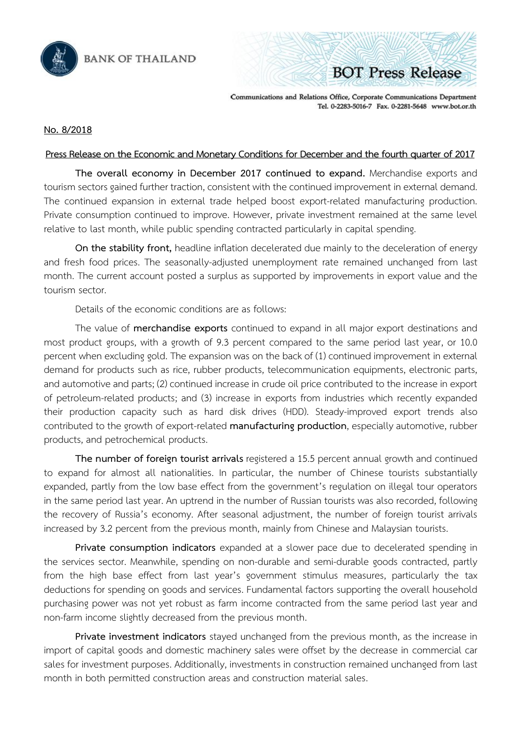

Communications and Relations Office, Corporate Communications Department Tel. 0-2283-5016-7 Fax. 0-2281-5648 www.bot.or.th

**BOT Press Release** 

## **No. 8/2018**

## Press Release on the Economic and Monetary Conditions for December and the fourth quarter of 2017

**The overall economy in December 2017 continued to expand.** Merchandise exports and tourism sectors gained further traction, consistent with the continued improvement in external demand. The continued expansion in external trade helped boost export-related manufacturing production. Private consumption continued to improve. However, private investment remained at the same level relative to last month, while public spending contracted particularly in capital spending.

**On the stability front,** headline inflation decelerated due mainly to the deceleration of energy and fresh food prices. The seasonally-adjusted unemployment rate remained unchanged from last month. The current account posted a surplus as supported by improvements in export value and the tourism sector.

Details of the economic conditions are as follows:

The value of **merchandise exports** continued to expand in all major export destinations and most product groups, with a growth of 9.3 percent compared to the same period last year, or 10.0 percent when excluding gold. The expansion was on the back of (1) continued improvement in external demand for products such as rice, rubber products, telecommunication equipments, electronic parts, and automotive and parts; (2) continued increase in crude oil price contributed to the increase in export of petroleum-related products; and (3) increase in exports from industries which recently expanded their production capacity such as hard disk drives (HDD). Steady-improved export trends also contributed to the growth of export-related **manufacturing production**, especially automotive, rubber products, and petrochemical products.

**The number of foreign tourist arrivals** registered a 15.5 percent annual growth and continued to expand for almost all nationalities. In particular, the number of Chinese tourists substantially expanded, partly from the low base effect from the government's regulation on illegal tour operators in the same period last year. An uptrend in the number of Russian tourists was also recorded, following the recovery of Russia's economy. After seasonal adjustment, the number of foreign tourist arrivals increased by 3.2 percent from the previous month, mainly from Chinese and Malaysian tourists.

**Private consumption indicators** expanded at a slower pace due to decelerated spending in the services sector. Meanwhile, spending on non-durable and semi-durable goods contracted, partly from the high base effect from last year's government stimulus measures, particularly the tax deductions for spending on goods and services. Fundamental factors supporting the overall household purchasing power was not yet robust as farm income contracted from the same period last year and non-farm income slightly decreased from the previous month.

**Private investment indicators** stayed unchanged from the previous month, as the increase in import of capital goods and domestic machinery sales were offset by the decrease in commercial car sales for investment purposes. Additionally, investments in construction remained unchanged from last month in both permitted construction areas and construction material sales.